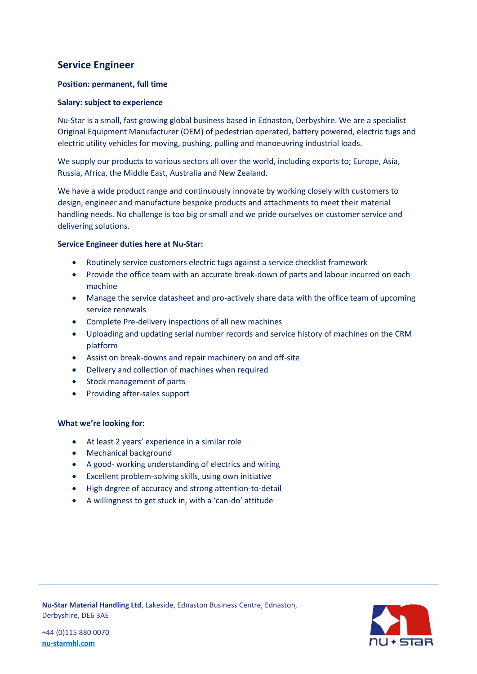# **Service Engineer**

# **Position: permanent, full time**

# **Salary: subject to experience**

Nu-Star is a small, fast growing global business based in Ednaston, Derbyshire. We are a specialist Original Equipment Manufacturer (OEM) of pedestrian operated, battery powered, electric tugs and electric utility vehicles for moving, pushing, pulling and manoeuvring industrial loads.

We supply our products to various sectors all over the world, including exports to; Europe, Asia, Russia, Africa, the Middle East, Australia and New Zealand.

We have a wide product range and continuously innovate by working closely with customers to design, engineer and manufacture bespoke products and attachments to meet their material handling needs. No challenge is too big or small and we pride ourselves on customer service and delivering solutions.

# **Service Engineer duties here at Nu-Star:**

- Routinely service customers electric tugs against a service checklist framework
- Provide the office team with an accurate break-down of parts and labour incurred on each machine
- Manage the service datasheet and pro-actively share data with the office team of upcoming service renewals
- Complete Pre-delivery inspections of all new machines
- Uploading and updating serial number records and service history of machines on the CRM platform
- Assist on break-downs and repair machinery on and off-site
- Delivery and collection of machines when required
- Stock management of parts
- Providing after-sales support

## **What we're looking for:**

- At least 2 years' experience in a similar role
- Mechanical background
- A good- working understanding of electrics and wiring
- Excellent problem-solving skills, using own initiative
- High degree of accuracy and strong attention-to-detail
- A willingness to get stuck in, with a 'can-do' attitude



**Nu-Star Material Handling Ltd**, Lakeside, Ednaston Business Centre, Ednaston, Derbyshire, DE6 3AE

+44 (0)115 880 0070 **[nu-starmhl.com](http://www.nu-starmhl.com/)**